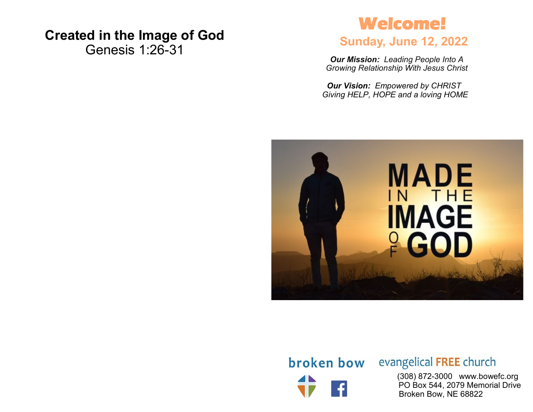## **Created in the Image of God**

Genesis 1:26-31

# **Welcome!**

### **Sunday, June 12, 2022**

*Our Mission: Leading People Into A Growing Relationship With Jesus Christ*

*Our Vision: Empowered by CHRIST Giving HELP, HOPE and a loving HOME*



# broken bow

## evangelical FREE church

 (308) 872-3000 www.bowefc.org PO Box 544, 2079 Memorial Drive Broken Bow, NE 68822